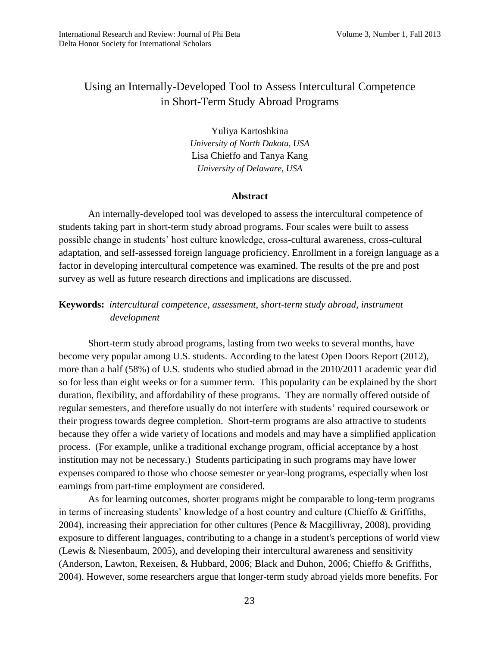# Using an Internally-Developed Tool to Assess Intercultural Competence in Short-Term Study Abroad Programs

Yuliya Kartoshkina *University of North Dakota, USA*  Lisa Chieffo and Tanya Kang *University of Delaware, USA*

#### **Abstract**

An internally-developed tool was developed to assess the intercultural competence of students taking part in short-term study abroad programs. Four scales were built to assess possible change in students' host culture knowledge, cross-cultural awareness, cross-cultural adaptation, and self-assessed foreign language proficiency. Enrollment in a foreign language as a factor in developing intercultural competence was examined. The results of the pre and post survey as well as future research directions and implications are discussed.

## **Keywords:** *intercultural competence, assessment, short-term study abroad, instrument development*

Short-term study abroad programs, lasting from two weeks to several months, have become very popular among U.S. students. According to the latest Open Doors Report (2012), more than a half (58%) of U.S. students who studied abroad in the 2010/2011 academic year did so for less than eight weeks or for a summer term. This popularity can be explained by the short duration, flexibility, and affordability of these programs. They are normally offered outside of regular semesters, and therefore usually do not interfere with students' required coursework or their progress towards degree completion. Short-term programs are also attractive to students because they offer a wide variety of locations and models and may have a simplified application process. (For example, unlike a traditional exchange program, official acceptance by a host institution may not be necessary.) Students participating in such programs may have lower expenses compared to those who choose semester or year-long programs, especially when lost earnings from part-time employment are considered.

As for learning outcomes, shorter programs might be comparable to long-term programs in terms of increasing students' knowledge of a host country and culture (Chieffo & Griffiths, 2004), increasing their appreciation for other cultures (Pence & Macgillivray, 2008), providing exposure to different languages, contributing to a change in a student's perceptions of world view (Lewis & Niesenbaum, 2005), and developing their intercultural awareness and sensitivity (Anderson, Lawton, Rexeisen, & Hubbard, 2006; Black and Duhon, 2006; Chieffo & Griffiths, 2004). However, some researchers argue that longer-term study abroad yields more benefits. For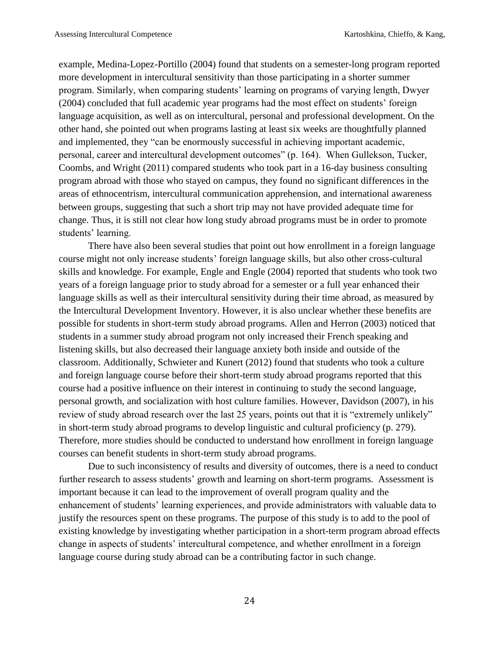example, Medina-Lopez-Portillo (2004) found that students on a semester-long program reported more development in intercultural sensitivity than those participating in a shorter summer program. Similarly, when comparing students' learning on programs of varying length, Dwyer (2004) concluded that full academic year programs had the most effect on students' foreign language acquisition, as well as on intercultural, personal and professional development. On the other hand, she pointed out when programs lasting at least six weeks are thoughtfully planned and implemented, they "can be enormously successful in achieving important academic, personal, career and intercultural development outcomes" (p. 164). When Gullekson, Tucker, Coombs, and Wright (2011) compared students who took part in a 16-day business consulting program abroad with those who stayed on campus, they found no significant differences in the areas of ethnocentrism, intercultural communication apprehension, and international awareness between groups, suggesting that such a short trip may not have provided adequate time for change. Thus, it is still not clear how long study abroad programs must be in order to promote students' learning.

There have also been several studies that point out how enrollment in a foreign language course might not only increase students' foreign language skills, but also other cross-cultural skills and knowledge. For example, Engle and Engle (2004) reported that students who took two years of a foreign language prior to study abroad for a semester or a full year enhanced their language skills as well as their intercultural sensitivity during their time abroad, as measured by the Intercultural Development Inventory. However, it is also unclear whether these benefits are possible for students in short-term study abroad programs. Allen and Herron (2003) noticed that students in a summer study abroad program not only increased their French speaking and listening skills, but also decreased their language anxiety both inside and outside of the classroom. Additionally, Schwieter and Kunert (2012) found that students who took a culture and foreign language course before their short-term study abroad programs reported that this course had a positive influence on their interest in continuing to study the second language, personal growth, and socialization with host culture families. However, Davidson (2007), in his review of study abroad research over the last 25 years, points out that it is "extremely unlikely" in short-term study abroad programs to develop linguistic and cultural proficiency (p. 279). Therefore, more studies should be conducted to understand how enrollment in foreign language courses can benefit students in short-term study abroad programs.

Due to such inconsistency of results and diversity of outcomes, there is a need to conduct further research to assess students' growth and learning on short-term programs. Assessment is important because it can lead to the improvement of overall program quality and the enhancement of students' learning experiences, and provide administrators with valuable data to justify the resources spent on these programs. The purpose of this study is to add to the pool of existing knowledge by investigating whether participation in a short-term program abroad effects change in aspects of students' intercultural competence, and whether enrollment in a foreign language course during study abroad can be a contributing factor in such change.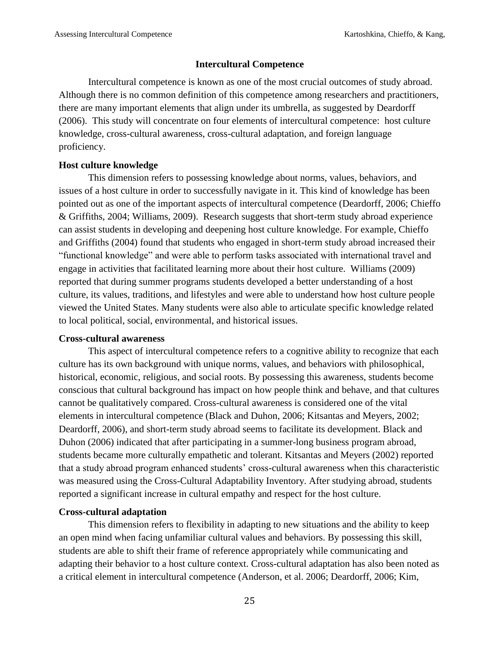#### **Intercultural Competence**

Intercultural competence is known as one of the most crucial outcomes of study abroad. Although there is no common definition of this competence among researchers and practitioners, there are many important elements that align under its umbrella, as suggested by Deardorff (2006). This study will concentrate on four elements of intercultural competence: host culture knowledge, cross-cultural awareness, cross-cultural adaptation, and foreign language proficiency.

## **Host culture knowledge**

This dimension refers to possessing knowledge about norms, values, behaviors, and issues of a host culture in order to successfully navigate in it. This kind of knowledge has been pointed out as one of the important aspects of intercultural competence (Deardorff, 2006; Chieffo & Griffiths, 2004; Williams, 2009). Research suggests that short-term study abroad experience can assist students in developing and deepening host culture knowledge. For example, Chieffo and Griffiths (2004) found that students who engaged in short-term study abroad increased their "functional knowledge" and were able to perform tasks associated with international travel and engage in activities that facilitated learning more about their host culture. Williams (2009) reported that during summer programs students developed a better understanding of a host culture, its values, traditions, and lifestyles and were able to understand how host culture people viewed the United States. Many students were also able to articulate specific knowledge related to local political, social, environmental, and historical issues.

#### **Cross-cultural awareness**

This aspect of intercultural competence refers to a cognitive ability to recognize that each culture has its own background with unique norms, values, and behaviors with philosophical, historical, economic, religious, and social roots. By possessing this awareness, students become conscious that cultural background has impact on how people think and behave, and that cultures cannot be qualitatively compared. Cross-cultural awareness is considered one of the vital elements in intercultural competence (Black and Duhon, 2006; Kitsantas and Meyers, 2002; Deardorff, 2006), and short-term study abroad seems to facilitate its development. Black and Duhon (2006) indicated that after participating in a summer-long business program abroad, students became more culturally empathetic and tolerant. Kitsantas and Meyers (2002) reported that a study abroad program enhanced students' cross-cultural awareness when this characteristic was measured using the Cross-Cultural Adaptability Inventory. After studying abroad, students reported a significant increase in cultural empathy and respect for the host culture.

## **Cross-cultural adaptation**

This dimension refers to flexibility in adapting to new situations and the ability to keep an open mind when facing unfamiliar cultural values and behaviors. By possessing this skill, students are able to shift their frame of reference appropriately while communicating and adapting their behavior to a host culture context. Cross-cultural adaptation has also been noted as a critical element in intercultural competence (Anderson, et al. 2006; Deardorff, 2006; Kim,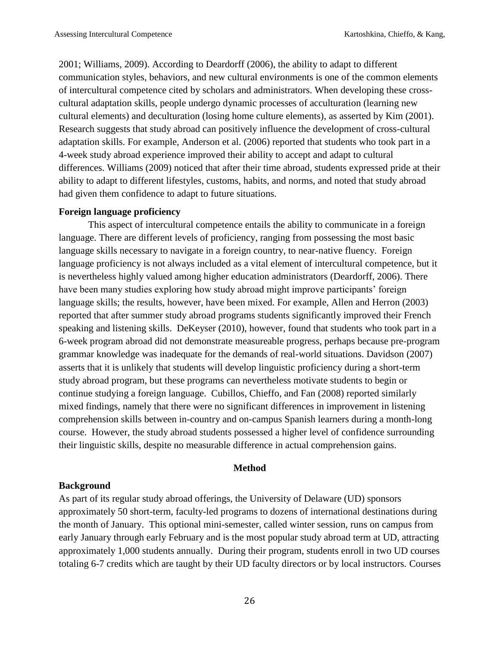2001; Williams, 2009). According to Deardorff (2006), the ability to adapt to different communication styles, behaviors, and new cultural environments is one of the common elements of intercultural competence cited by scholars and administrators. When developing these crosscultural adaptation skills, people undergo dynamic processes of acculturation (learning new cultural elements) and deculturation (losing home culture elements), as asserted by Kim (2001). Research suggests that study abroad can positively influence the development of cross-cultural adaptation skills. For example, Anderson et al. (2006) reported that students who took part in a 4-week study abroad experience improved their ability to accept and adapt to cultural differences. Williams (2009) noticed that after their time abroad, students expressed pride at their ability to adapt to different lifestyles, customs, habits, and norms, and noted that study abroad had given them confidence to adapt to future situations.

## **Foreign language proficiency**

This aspect of intercultural competence entails the ability to communicate in a foreign language. There are different levels of proficiency, ranging from possessing the most basic language skills necessary to navigate in a foreign country, to near-native fluency. Foreign language proficiency is not always included as a vital element of intercultural competence, but it is nevertheless highly valued among higher education administrators (Deardorff, 2006). There have been many studies exploring how study abroad might improve participants' foreign language skills; the results, however, have been mixed. For example, Allen and Herron (2003) reported that after summer study abroad programs students significantly improved their French speaking and listening skills. DeKeyser (2010), however, found that students who took part in a 6-week program abroad did not demonstrate measureable progress, perhaps because pre-program grammar knowledge was inadequate for the demands of real-world situations. Davidson (2007) asserts that it is unlikely that students will develop linguistic proficiency during a short-term study abroad program, but these programs can nevertheless motivate students to begin or continue studying a foreign language. Cubillos, Chieffo, and Fan (2008) reported similarly mixed findings, namely that there were no significant differences in improvement in listening comprehension skills between in-country and on-campus Spanish learners during a month-long course. However, the study abroad students possessed a higher level of confidence surrounding their linguistic skills, despite no measurable difference in actual comprehension gains.

## **Method**

## **Background**

As part of its regular study abroad offerings, the University of Delaware (UD) sponsors approximately 50 short-term, faculty-led programs to dozens of international destinations during the month of January. This optional mini-semester, called winter session, runs on campus from early January through early February and is the most popular study abroad term at UD, attracting approximately 1,000 students annually. During their program, students enroll in two UD courses totaling 6-7 credits which are taught by their UD faculty directors or by local instructors*.* Courses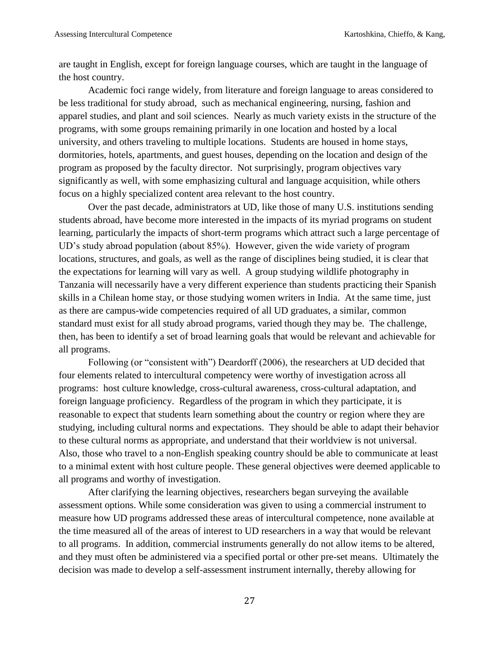are taught in English, except for foreign language courses, which are taught in the language of the host country.

Academic foci range widely, from literature and foreign language to areas considered to be less traditional for study abroad, such as mechanical engineering, nursing, fashion and apparel studies, and plant and soil sciences. Nearly as much variety exists in the structure of the programs, with some groups remaining primarily in one location and hosted by a local university, and others traveling to multiple locations. Students are housed in home stays, dormitories, hotels, apartments, and guest houses, depending on the location and design of the program as proposed by the faculty director. Not surprisingly, program objectives vary significantly as well, with some emphasizing cultural and language acquisition, while others focus on a highly specialized content area relevant to the host country.

Over the past decade, administrators at UD, like those of many U.S. institutions sending students abroad, have become more interested in the impacts of its myriad programs on student learning, particularly the impacts of short-term programs which attract such a large percentage of UD's study abroad population (about 85%). However, given the wide variety of program locations, structures, and goals, as well as the range of disciplines being studied, it is clear that the expectations for learning will vary as well. A group studying wildlife photography in Tanzania will necessarily have a very different experience than students practicing their Spanish skills in a Chilean home stay, or those studying women writers in India. At the same time, just as there are campus-wide competencies required of all UD graduates, a similar, common standard must exist for all study abroad programs, varied though they may be. The challenge, then, has been to identify a set of broad learning goals that would be relevant and achievable for all programs.

Following (or "consistent with") Deardorff (2006), the researchers at UD decided that four elements related to intercultural competency were worthy of investigation across all programs: host culture knowledge, cross-cultural awareness, cross-cultural adaptation, and foreign language proficiency. Regardless of the program in which they participate, it is reasonable to expect that students learn something about the country or region where they are studying, including cultural norms and expectations. They should be able to adapt their behavior to these cultural norms as appropriate, and understand that their worldview is not universal. Also, those who travel to a non-English speaking country should be able to communicate at least to a minimal extent with host culture people. These general objectives were deemed applicable to all programs and worthy of investigation.

After clarifying the learning objectives, researchers began surveying the available assessment options. While some consideration was given to using a commercial instrument to measure how UD programs addressed these areas of intercultural competence, none available at the time measured all of the areas of interest to UD researchers in a way that would be relevant to all programs. In addition, commercial instruments generally do not allow items to be altered, and they must often be administered via a specified portal or other pre-set means. Ultimately the decision was made to develop a self-assessment instrument internally, thereby allowing for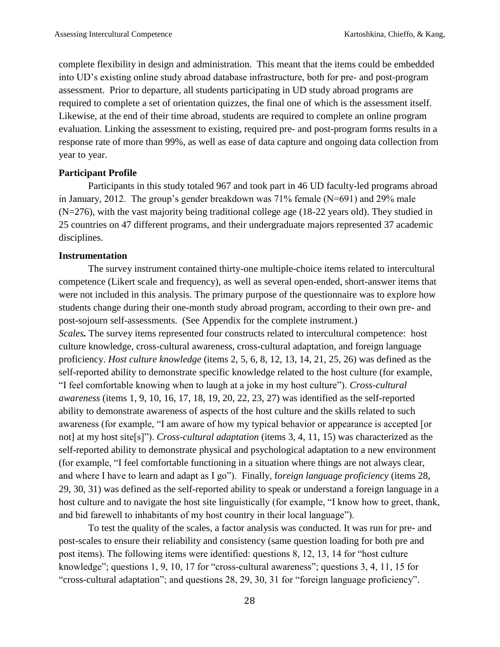complete flexibility in design and administration. This meant that the items could be embedded into UD's existing online study abroad database infrastructure, both for pre- and post-program assessment. Prior to departure, all students participating in UD study abroad programs are required to complete a set of orientation quizzes, the final one of which is the assessment itself. Likewise, at the end of their time abroad, students are required to complete an online program evaluation. Linking the assessment to existing, required pre- and post-program forms results in a response rate of more than 99%, as well as ease of data capture and ongoing data collection from year to year.

## **Participant Profile**

Participants in this study totaled 967 and took part in 46 UD faculty-led programs abroad in January, 2012. The group's gender breakdown was 71% female (N=691) and 29% male (N=276), with the vast majority being traditional college age (18-22 years old). They studied in 25 countries on 47 different programs, and their undergraduate majors represented 37 academic disciplines.

## **Instrumentation**

The survey instrument contained thirty-one multiple-choice items related to intercultural competence (Likert scale and frequency), as well as several open-ended, short-answer items that were not included in this analysis. The primary purpose of the questionnaire was to explore how students change during their one-month study abroad program, according to their own pre- and post-sojourn self-assessments. (See Appendix for the complete instrument.) *Scales.* The survey items represented four constructs related to intercultural competence: host culture knowledge, cross-cultural awareness, cross-cultural adaptation, and foreign language proficiency. *Host culture knowledge* (items 2, 5, 6, 8, 12, 13, 14, 21, 25, 26) was defined as the self-reported ability to demonstrate specific knowledge related to the host culture (for example, "I feel comfortable knowing when to laugh at a joke in my host culture"). *Cross-cultural awareness* (items 1, 9, 10, 16, 17, 18, 19, 20, 22, 23, 27) was identified as the self-reported ability to demonstrate awareness of aspects of the host culture and the skills related to such awareness (for example, "I am aware of how my typical behavior or appearance is accepted [or not] at my host site[s]"). *Cross-cultural adaptation* (items 3, 4, 11, 15) was characterized as the self-reported ability to demonstrate physical and psychological adaptation to a new environment (for example, "I feel comfortable functioning in a situation where things are not always clear, and where I have to learn and adapt as I go"). Finally, f*oreign language proficiency* (items 28, 29, 30, 31) was defined as the self-reported ability to speak or understand a foreign language in a host culture and to navigate the host site linguistically (for example, "I know how to greet, thank, and bid farewell to inhabitants of my host country in their local language").

To test the quality of the scales, a factor analysis was conducted. It was run for pre- and post-scales to ensure their reliability and consistency (same question loading for both pre and post items). The following items were identified: questions 8, 12, 13, 14 for "host culture knowledge"; questions 1, 9, 10, 17 for "cross-cultural awareness"; questions 3, 4, 11, 15 for "cross-cultural adaptation"; and questions 28, 29, 30, 31 for "foreign language proficiency".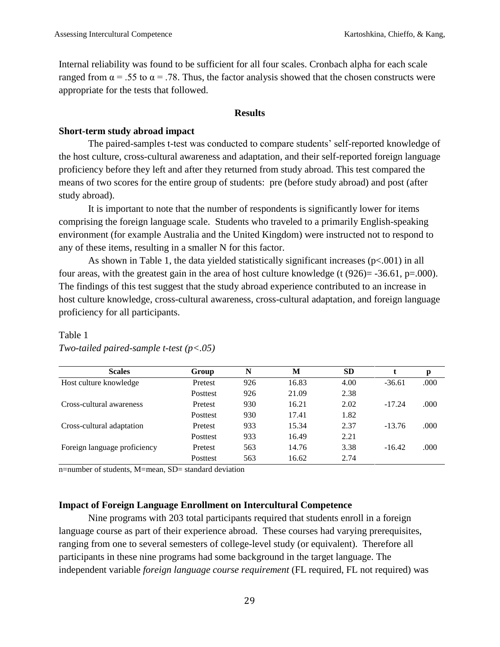Internal reliability was found to be sufficient for all four scales. Cronbach alpha for each scale ranged from  $\alpha$  = .55 to  $\alpha$  = .78. Thus, the factor analysis showed that the chosen constructs were appropriate for the tests that followed.

#### **Results**

## **Short-term study abroad impact**

The paired-samples t-test was conducted to compare students' self-reported knowledge of the host culture, cross-cultural awareness and adaptation, and their self-reported foreign language proficiency before they left and after they returned from study abroad. This test compared the means of two scores for the entire group of students: pre (before study abroad) and post (after study abroad).

It is important to note that the number of respondents is significantly lower for items comprising the foreign language scale. Students who traveled to a primarily English-speaking environment (for example Australia and the United Kingdom) were instructed not to respond to any of these items, resulting in a smaller N for this factor.

As shown in Table 1, the data yielded statistically significant increases (p<.001) in all four areas, with the greatest gain in the area of host culture knowledge (t  $(926)$ = -36.61, p=.000). The findings of this test suggest that the study abroad experience contributed to an increase in host culture knowledge, cross-cultural awareness, cross-cultural adaptation, and foreign language proficiency for all participants.

| <b>Scales</b>                | Group           | N   | М     | <b>SD</b> |          | р    |
|------------------------------|-----------------|-----|-------|-----------|----------|------|
| Host culture knowledge       | Pretest         | 926 | 16.83 | 4.00      | $-36.61$ | .000 |
|                              | <b>Posttest</b> | 926 | 21.09 | 2.38      |          |      |
| Cross-cultural awareness     | Pretest         | 930 | 16.21 | 2.02      | $-17.24$ | .000 |
|                              | <b>Posttest</b> | 930 | 17.41 | 1.82      |          |      |
| Cross-cultural adaptation    | Pretest         | 933 | 15.34 | 2.37      | $-13.76$ | .000 |
|                              | <b>Posttest</b> | 933 | 16.49 | 2.21      |          |      |
| Foreign language proficiency | Pretest         | 563 | 14.76 | 3.38      | $-16.42$ | .000 |
|                              | Posttest        | 563 | 16.62 | 2.74      |          |      |

# Table 1

| Two-tailed paired-sample t-test $(p<.05)$ |  |  |  |
|-------------------------------------------|--|--|--|
|-------------------------------------------|--|--|--|

n=number of students, M=mean, SD= standard deviation

## **Impact of Foreign Language Enrollment on Intercultural Competence**

Nine programs with 203 total participants required that students enroll in a foreign language course as part of their experience abroad. These courses had varying prerequisites, ranging from one to several semesters of college-level study (or equivalent). Therefore all participants in these nine programs had some background in the target language. The independent variable *foreign language course requirement* (FL required, FL not required) was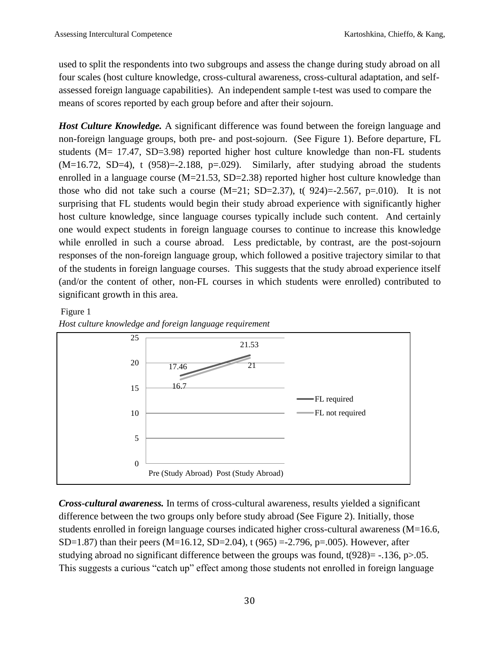used to split the respondents into two subgroups and assess the change during study abroad on all four scales (host culture knowledge, cross-cultural awareness, cross-cultural adaptation, and selfassessed foreign language capabilities). An independent sample t-test was used to compare the means of scores reported by each group before and after their sojourn.

*Host Culture Knowledge.* A significant difference was found between the foreign language and non-foreign language groups, both pre- and post-sojourn. (See Figure 1). Before departure, FL students (M= 17.47, SD=3.98) reported higher host culture knowledge than non-FL students  $(M=16.72, SD=4)$ , t  $(958)=-2.188$ ,  $p=.029$ ). Similarly, after studying abroad the students enrolled in a language course  $(M=21.53, SD=2.38)$  reported higher host culture knowledge than those who did not take such a course  $(M=21; SD=2.37)$ , t( 924) = -2.567, p=.010). It is not surprising that FL students would begin their study abroad experience with significantly higher host culture knowledge, since language courses typically include such content. And certainly one would expect students in foreign language courses to continue to increase this knowledge while enrolled in such a course abroad. Less predictable, by contrast, are the post-sojourn responses of the non-foreign language group, which followed a positive trajectory similar to that of the students in foreign language courses. This suggests that the study abroad experience itself (and/or the content of other, non-FL courses in which students were enrolled) contributed to significant growth in this area.

## Figure 1





*Cross-cultural awareness.* In terms of cross-cultural awareness, results yielded a significant difference between the two groups only before study abroad (See Figure 2). Initially, those students enrolled in foreign language courses indicated higher cross-cultural awareness (M=16.6, SD=1.87) than their peers (M=16.12, SD=2.04), t (965) =-2.796, p=.005). However, after studying abroad no significant difference between the groups was found,  $t(928) = -136$ , p $> 0.05$ . This suggests a curious "catch up" effect among those students not enrolled in foreign language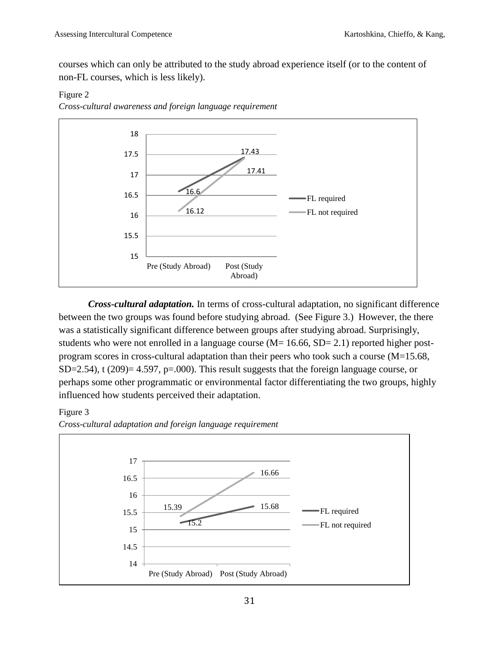courses which can only be attributed to the study abroad experience itself (or to the content of non-FL courses, which is less likely).

## Figure 2

*Cross-cultural awareness and foreign language requirement*



*Cross-cultural adaptation.* In terms of cross-cultural adaptation, no significant difference between the two groups was found before studying abroad. (See Figure 3.) However, the there was a statistically significant difference between groups after studying abroad. Surprisingly, students who were not enrolled in a language course  $(M= 16.66, SD= 2.1)$  reported higher postprogram scores in cross-cultural adaptation than their peers who took such a course  $(M=15.68,$ SD=2.54), t (209)= 4.597, p=.000). This result suggests that the foreign language course, or perhaps some other programmatic or environmental factor differentiating the two groups, highly influenced how students perceived their adaptation.

## Figure 3



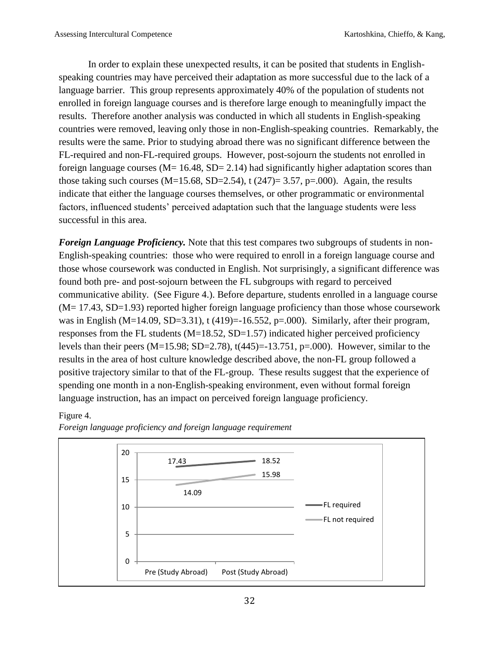In order to explain these unexpected results, it can be posited that students in Englishspeaking countries may have perceived their adaptation as more successful due to the lack of a language barrier. This group represents approximately 40% of the population of students not enrolled in foreign language courses and is therefore large enough to meaningfully impact the results. Therefore another analysis was conducted in which all students in English-speaking countries were removed, leaving only those in non-English-speaking countries. Remarkably, the results were the same. Prior to studying abroad there was no significant difference between the FL-required and non-FL-required groups. However, post-sojourn the students not enrolled in foreign language courses ( $M = 16.48$ ,  $SD = 2.14$ ) had significantly higher adaptation scores than those taking such courses (M=15.68, SD=2.54), t (247)= 3.57, p=.000). Again, the results indicate that either the language courses themselves, or other programmatic or environmental factors, influenced students' perceived adaptation such that the language students were less successful in this area.

*Foreign Language Proficiency.* Note that this test compares two subgroups of students in non-English-speaking countries: those who were required to enroll in a foreign language course and those whose coursework was conducted in English. Not surprisingly, a significant difference was found both pre- and post-sojourn between the FL subgroups with regard to perceived communicative ability. (See Figure 4.). Before departure, students enrolled in a language course (M= 17.43, SD=1.93) reported higher foreign language proficiency than those whose coursework was in English (M=14.09, SD=3.31), t (419)=-16.552, p=.000). Similarly, after their program, responses from the FL students  $(M=18.52, SD=1.57)$  indicated higher perceived proficiency levels than their peers (M=15.98; SD=2.78),  $t(445)$ =-13.751, p=.000). However, similar to the results in the area of host culture knowledge described above, the non-FL group followed a positive trajectory similar to that of the FL-group. These results suggest that the experience of spending one month in a non-English-speaking environment, even without formal foreign language instruction, has an impact on perceived foreign language proficiency.

## Figure 4.



*Foreign language proficiency and foreign language requirement*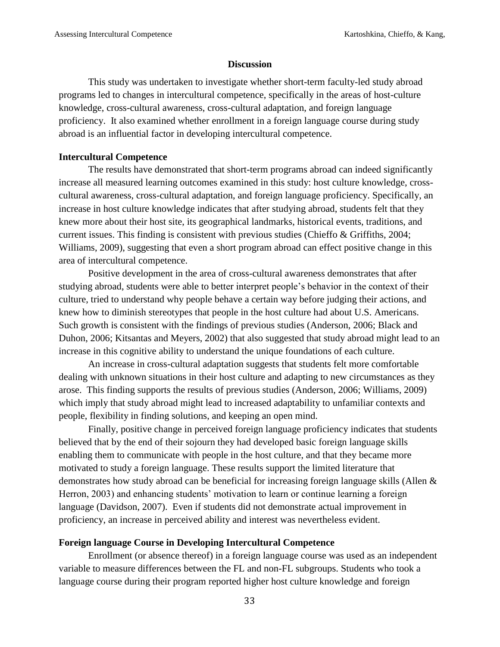## **Discussion**

This study was undertaken to investigate whether short-term faculty-led study abroad programs led to changes in intercultural competence, specifically in the areas of host-culture knowledge, cross-cultural awareness, cross-cultural adaptation, and foreign language proficiency. It also examined whether enrollment in a foreign language course during study abroad is an influential factor in developing intercultural competence.

#### **Intercultural Competence**

The results have demonstrated that short-term programs abroad can indeed significantly increase all measured learning outcomes examined in this study: host culture knowledge, crosscultural awareness, cross-cultural adaptation, and foreign language proficiency. Specifically, an increase in host culture knowledge indicates that after studying abroad, students felt that they knew more about their host site, its geographical landmarks, historical events, traditions, and current issues. This finding is consistent with previous studies (Chieffo & Griffiths, 2004; Williams, 2009), suggesting that even a short program abroad can effect positive change in this area of intercultural competence.

Positive development in the area of cross-cultural awareness demonstrates that after studying abroad, students were able to better interpret people's behavior in the context of their culture, tried to understand why people behave a certain way before judging their actions, and knew how to diminish stereotypes that people in the host culture had about U.S. Americans. Such growth is consistent with the findings of previous studies (Anderson, 2006; Black and Duhon, 2006; Kitsantas and Meyers, 2002) that also suggested that study abroad might lead to an increase in this cognitive ability to understand the unique foundations of each culture.

An increase in cross-cultural adaptation suggests that students felt more comfortable dealing with unknown situations in their host culture and adapting to new circumstances as they arose. This finding supports the results of previous studies (Anderson, 2006; Williams, 2009) which imply that study abroad might lead to increased adaptability to unfamiliar contexts and people, flexibility in finding solutions, and keeping an open mind.

Finally, positive change in perceived foreign language proficiency indicates that students believed that by the end of their sojourn they had developed basic foreign language skills enabling them to communicate with people in the host culture, and that they became more motivated to study a foreign language. These results support the limited literature that demonstrates how study abroad can be beneficial for increasing foreign language skills (Allen & Herron, 2003) and enhancing students' motivation to learn or continue learning a foreign language (Davidson, 2007). Even if students did not demonstrate actual improvement in proficiency, an increase in perceived ability and interest was nevertheless evident.

## **Foreign language Course in Developing Intercultural Competence**

Enrollment (or absence thereof) in a foreign language course was used as an independent variable to measure differences between the FL and non-FL subgroups. Students who took a language course during their program reported higher host culture knowledge and foreign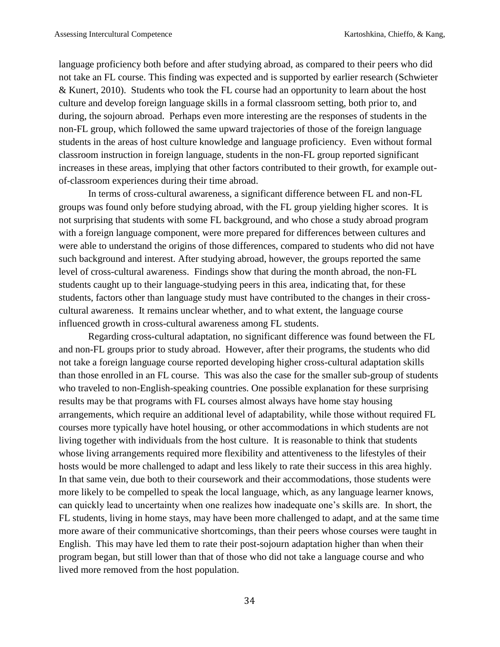language proficiency both before and after studying abroad, as compared to their peers who did not take an FL course. This finding was expected and is supported by earlier research (Schwieter & Kunert, 2010). Students who took the FL course had an opportunity to learn about the host culture and develop foreign language skills in a formal classroom setting, both prior to, and during, the sojourn abroad. Perhaps even more interesting are the responses of students in the non-FL group, which followed the same upward trajectories of those of the foreign language students in the areas of host culture knowledge and language proficiency. Even without formal classroom instruction in foreign language, students in the non-FL group reported significant increases in these areas, implying that other factors contributed to their growth, for example outof-classroom experiences during their time abroad.

In terms of cross-cultural awareness, a significant difference between FL and non-FL groups was found only before studying abroad, with the FL group yielding higher scores. It is not surprising that students with some FL background, and who chose a study abroad program with a foreign language component, were more prepared for differences between cultures and were able to understand the origins of those differences, compared to students who did not have such background and interest. After studying abroad, however, the groups reported the same level of cross-cultural awareness. Findings show that during the month abroad, the non-FL students caught up to their language-studying peers in this area, indicating that, for these students, factors other than language study must have contributed to the changes in their crosscultural awareness. It remains unclear whether, and to what extent, the language course influenced growth in cross-cultural awareness among FL students.

Regarding cross-cultural adaptation, no significant difference was found between the FL and non-FL groups prior to study abroad. However, after their programs, the students who did not take a foreign language course reported developing higher cross-cultural adaptation skills than those enrolled in an FL course. This was also the case for the smaller sub-group of students who traveled to non-English-speaking countries. One possible explanation for these surprising results may be that programs with FL courses almost always have home stay housing arrangements, which require an additional level of adaptability, while those without required FL courses more typically have hotel housing, or other accommodations in which students are not living together with individuals from the host culture. It is reasonable to think that students whose living arrangements required more flexibility and attentiveness to the lifestyles of their hosts would be more challenged to adapt and less likely to rate their success in this area highly. In that same vein, due both to their coursework and their accommodations, those students were more likely to be compelled to speak the local language, which, as any language learner knows, can quickly lead to uncertainty when one realizes how inadequate one's skills are. In short, the FL students, living in home stays, may have been more challenged to adapt, and at the same time more aware of their communicative shortcomings, than their peers whose courses were taught in English. This may have led them to rate their post-sojourn adaptation higher than when their program began, but still lower than that of those who did not take a language course and who lived more removed from the host population.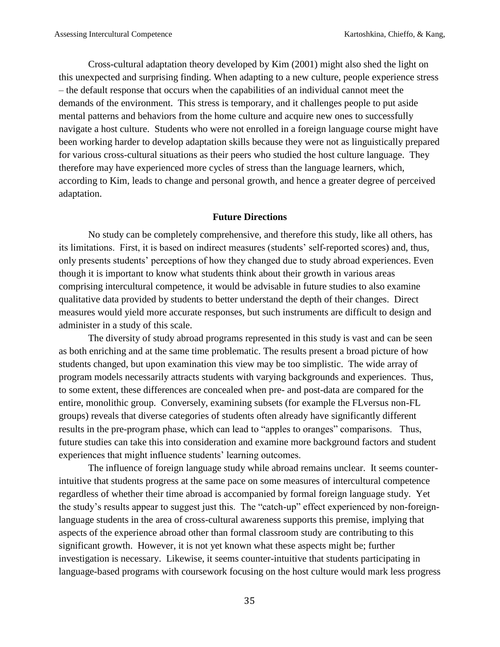Cross-cultural adaptation theory developed by Kim (2001) might also shed the light on this unexpected and surprising finding. When adapting to a new culture, people experience stress – the default response that occurs when the capabilities of an individual cannot meet the demands of the environment. This stress is temporary, and it challenges people to put aside mental patterns and behaviors from the home culture and acquire new ones to successfully navigate a host culture. Students who were not enrolled in a foreign language course might have been working harder to develop adaptation skills because they were not as linguistically prepared for various cross-cultural situations as their peers who studied the host culture language. They therefore may have experienced more cycles of stress than the language learners, which, according to Kim, leads to change and personal growth, and hence a greater degree of perceived adaptation.

## **Future Directions**

No study can be completely comprehensive, and therefore this study, like all others, has its limitations. First, it is based on indirect measures (students' self-reported scores) and, thus, only presents students' perceptions of how they changed due to study abroad experiences. Even though it is important to know what students think about their growth in various areas comprising intercultural competence, it would be advisable in future studies to also examine qualitative data provided by students to better understand the depth of their changes. Direct measures would yield more accurate responses, but such instruments are difficult to design and administer in a study of this scale.

The diversity of study abroad programs represented in this study is vast and can be seen as both enriching and at the same time problematic. The results present a broad picture of how students changed, but upon examination this view may be too simplistic. The wide array of program models necessarily attracts students with varying backgrounds and experiences. Thus, to some extent, these differences are concealed when pre- and post-data are compared for the entire, monolithic group. Conversely, examining subsets (for example the FLversus non-FL groups) reveals that diverse categories of students often already have significantly different results in the pre-program phase, which can lead to "apples to oranges" comparisons. Thus, future studies can take this into consideration and examine more background factors and student experiences that might influence students' learning outcomes.

The influence of foreign language study while abroad remains unclear. It seems counterintuitive that students progress at the same pace on some measures of intercultural competence regardless of whether their time abroad is accompanied by formal foreign language study. Yet the study's results appear to suggest just this. The "catch-up" effect experienced by non-foreignlanguage students in the area of cross-cultural awareness supports this premise, implying that aspects of the experience abroad other than formal classroom study are contributing to this significant growth. However, it is not yet known what these aspects might be; further investigation is necessary. Likewise, it seems counter-intuitive that students participating in language-based programs with coursework focusing on the host culture would mark less progress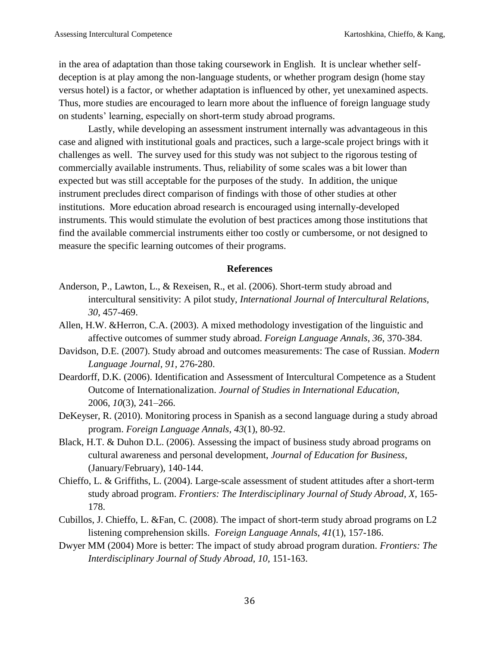in the area of adaptation than those taking coursework in English. It is unclear whether selfdeception is at play among the non-language students, or whether program design (home stay versus hotel) is a factor, or whether adaptation is influenced by other, yet unexamined aspects. Thus, more studies are encouraged to learn more about the influence of foreign language study on students' learning, especially on short-term study abroad programs.

Lastly, while developing an assessment instrument internally was advantageous in this case and aligned with institutional goals and practices, such a large-scale project brings with it challenges as well. The survey used for this study was not subject to the rigorous testing of commercially available instruments. Thus, reliability of some scales was a bit lower than expected but was still acceptable for the purposes of the study. In addition, the unique instrument precludes direct comparison of findings with those of other studies at other institutions. More education abroad research is encouraged using internally-developed instruments. This would stimulate the evolution of best practices among those institutions that find the available commercial instruments either too costly or cumbersome, or not designed to measure the specific learning outcomes of their programs.

#### **References**

- Anderson, P., Lawton, L., & Rexeisen, R., et al. (2006). Short-term study abroad and intercultural sensitivity: A pilot study, *International Journal of Intercultural Relations, 30*, 457-469.
- Allen, H.W. &Herron, C.A. (2003). A mixed methodology investigation of the linguistic and affective outcomes of summer study abroad. *Foreign Language Annals, 36,* 370-384.
- Davidson, D.E. (2007). Study abroad and outcomes measurements: The case of Russian. *Modern Language Journal, 91,* 276-280.
- Deardorff, D.K. (2006). Identification and Assessment of Intercultural Competence as a Student Outcome of Internationalization. *Journal of Studies in International Education,* 2006, *10*(3), 241–266.
- DeKeyser, R. (2010). Monitoring process in Spanish as a second language during a study abroad program. *Foreign Language Annals, 43*(1), 80-92.
- Black, H.T. & Duhon D.L. (2006). Assessing the impact of business study abroad programs on cultural awareness and personal development, *Journal of Education for Business,* (January/February), 140-144.
- Chieffo, L. & Griffiths, L. (2004). Large-scale assessment of student attitudes after a short-term study abroad program. *Frontiers: The Interdisciplinary Journal of Study Abroad*, *X,* 165- 178.
- Cubillos, J. Chieffo, L. &Fan, C. (2008). The impact of short-term study abroad programs on L2 listening comprehension skills. *Foreign Language Annals*, *41*(1), 157-186.
- Dwyer MM (2004) More is better: The impact of study abroad program duration. *Frontiers: The Interdisciplinary Journal of Study Abroad, 10,* 151-163.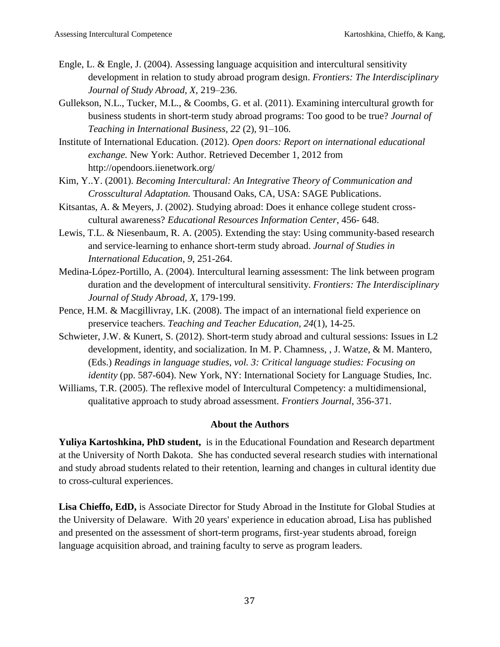- Engle, L. & Engle, J. (2004). Assessing language acquisition and intercultural sensitivity development in relation to study abroad program design. *Frontiers: The Interdisciplinary Journal of Study Abroad, X*, 219–236.
- Gullekson, N.L., Tucker, M.L., & Coombs, G. et al. (2011). Examining intercultural growth for business students in short-term study abroad programs: Too good to be true? *Journal of Teaching in International Business, 22* (2), 91–106.
- Institute of International Education. (2012). *Open doors: Report on international educational exchange.* New York: Author. Retrieved December 1, 2012 from http://opendoors.iienetwork.org/
- Kim, Y..Y. (2001). *Becoming Intercultural: An Integrative Theory of Communication and Crosscultural Adaptation.* Thousand Oaks, CA, USA: SAGE Publications.
- Kitsantas, A. & Meyers, J. (2002). Studying abroad: Does it enhance college student crosscultural awareness? *Educational Resources Information Center*, 456- 648.
- Lewis, T.L. & Niesenbaum, R. A. (2005). Extending the stay: Using community-based research and service-learning to enhance short-term study abroad. *Journal of Studies in International Education*, *9*, 251-264.
- Medina-López-Portillo, A. (2004). Intercultural learning assessment: The link between program duration and the development of intercultural sensitivity. *Frontiers: The Interdisciplinary Journal of Study Abroad, X*, 179-199.
- Pence, H.M. & Macgillivray, I.K. (2008). The impact of an international field experience on preservice teachers. *Teaching and Teacher Education, 24*(1), 14-25.
- Schwieter, J.W. & Kunert, S. (2012). Short-term study abroad and cultural sessions: Issues in L2 development, identity, and socialization. In M. P. Chamness, , J. Watze, & M. Mantero, (Eds.) *Readings in language studies, vol. 3: Critical language studies: Focusing on identity* (pp. 587-604). New York, NY: International Society for Language Studies, Inc.
- Williams, T.R. (2005). The reflexive model of Intercultural Competency: a multidimensional, qualitative approach to study abroad assessment. *Frontiers Journal*, 356-371.

## **About the Authors**

**Yuliya Kartoshkina, PhD student,** is in the Educational Foundation and Research department at the University of North Dakota. She has conducted several research studies with international and study abroad students related to their retention, learning and changes in cultural identity due to cross-cultural experiences.

**Lisa Chieffo, EdD,** is Associate Director for Study Abroad in the Institute for Global Studies at the University of Delaware. With 20 years' experience in education abroad, Lisa has published and presented on the assessment of short-term programs, first-year students abroad, foreign language acquisition abroad, and training faculty to serve as program leaders.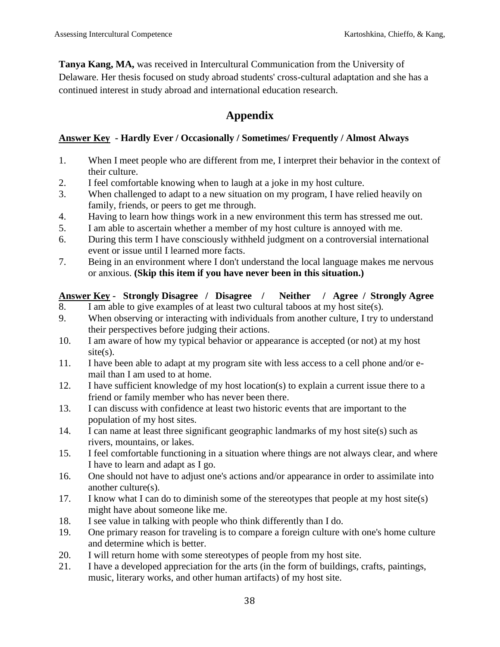**Tanya Kang, MA,** was received in Intercultural Communication from the University of Delaware. Her thesis focused on study abroad students' cross-cultural adaptation and she has a continued interest in study abroad and international education research.

# **Appendix**

## **Answer Key - Hardly Ever / Occasionally / Sometimes/ Frequently / Almost Always**

- 1. When I meet people who are different from me, I interpret their behavior in the context of their culture.
- 2. I feel comfortable knowing when to laugh at a joke in my host culture.
- 3. When challenged to adapt to a new situation on my program, I have relied heavily on family, friends, or peers to get me through.
- 4. Having to learn how things work in a new environment this term has stressed me out.
- 5. I am able to ascertain whether a member of my host culture is annoyed with me.
- 6. During this term I have consciously withheld judgment on a controversial international event or issue until I learned more facts.
- 7. Being in an environment where I don't understand the local language makes me nervous or anxious. **(Skip this item if you have never been in this situation.)**

## **Answer Key - Strongly Disagree / Disagree / Neither / Agree / Strongly Agree**

- 8. I am able to give examples of at least two cultural taboos at my host site(s).
- 9. When observing or interacting with individuals from another culture, I try to understand their perspectives before judging their actions.
- 10. I am aware of how my typical behavior or appearance is accepted (or not) at my host site(s).
- 11. I have been able to adapt at my program site with less access to a cell phone and/or email than I am used to at home.
- 12. I have sufficient knowledge of my host location(s) to explain a current issue there to a friend or family member who has never been there.
- 13. I can discuss with confidence at least two historic events that are important to the population of my host sites.
- 14. I can name at least three significant geographic landmarks of my host site(s) such as rivers, mountains, or lakes.
- 15. I feel comfortable functioning in a situation where things are not always clear, and where I have to learn and adapt as I go.
- 16. One should not have to adjust one's actions and/or appearance in order to assimilate into another culture(s).
- 17. I know what I can do to diminish some of the stereotypes that people at my host site(s) might have about someone like me.
- 18. I see value in talking with people who think differently than I do.
- 19. One primary reason for traveling is to compare a foreign culture with one's home culture and determine which is better.
- 20. I will return home with some stereotypes of people from my host site.
- 21. I have a developed appreciation for the arts (in the form of buildings, crafts, paintings, music, literary works, and other human artifacts) of my host site.